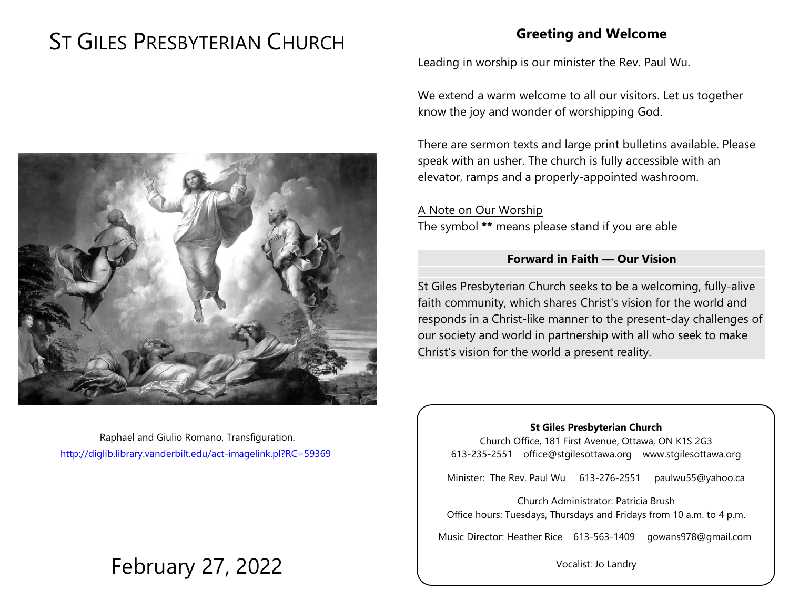# ST GILES PRESBYTERIAN CHURCH

## **Greeting and Welcome**

Leading in worship is our minister the Rev. Paul Wu.

We extend a warm welcome to all our visitors. Let us together know the joy and wonder of worshipping God.

There are sermon texts and large print bulletins available. Please speak with an usher. The church is fully accessible with an elevator, ramps and a properly-appointed washroom.

A Note on Our Worship The symbol **\*\*** means please stand if you are able

#### **Forward in Faith — Our Vision**

St Giles Presbyterian Church seeks to be a welcoming, fully-alive faith community, which shares Christ's vision for the world and responds in a Christ-like manner to the present-day challenges of our society and world in partnership with all who seek to make Christ's vision for the world a present reality.

#### **St Giles Presbyterian Church**

Church Office, 181 First Avenue, Ottawa, ON K1S 2G3 613-235-2551 office@stgilesottawa.org www.stgilesottawa.org

Minister: The Rev. Paul Wu 613-276-2551 paulwu55@yahoo.ca

Church Administrator: Patricia Brush Office hours: Tuesdays, Thursdays and Fridays from 10 a.m. to 4 p.m.

Music Director: Heather Rice 613-563-1409 gowans978@gmail.com

Vocalist: Jo Landry



Raphael and Giulio Romano, Transfiguration. <http://diglib.library.vanderbilt.edu/act-imagelink.pl?RC=59369>

# February 27, 2022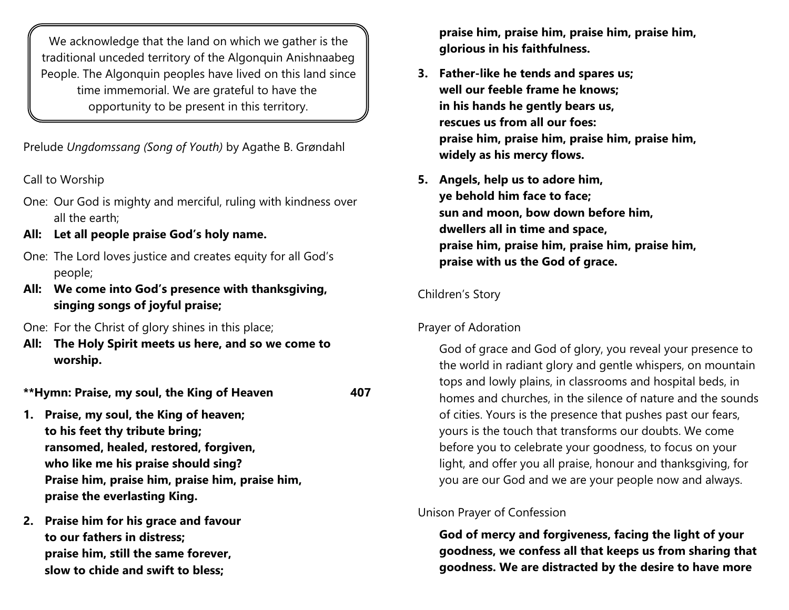We acknowledge that the land on which we gather is the traditional unceded territory of the Algonquin Anishnaabeg People. The Algonquin peoples have lived on this land since time immemorial. We are grateful to have the opportunity to be present in this territory.

Prelude *Ungdomssang (Song of Youth)* by Agathe B. Grøndahl

Call to Worship

- One: Our God is mighty and merciful, ruling with kindness over all the earth;
- **All: Let all people praise God's holy name.**
- One: The Lord loves justice and creates equity for all God's people;
- **All: We come into God's presence with thanksgiving, singing songs of joyful praise;**
- One: For the Christ of glory shines in this place;
- **All: The Holy Spirit meets us here, and so we come to worship.**

**\*\*Hymn: Praise, my soul, the King of Heaven 407**

- **1. Praise, my soul, the King of heaven; to his feet thy tribute bring; ransomed, healed, restored, forgiven, who like me his praise should sing? Praise him, praise him, praise him, praise him, praise the everlasting King.**
- **2. Praise him for his grace and favour to our fathers in distress; praise him, still the same forever, slow to chide and swift to bless;**

**praise him, praise him, praise him, praise him, glorious in his faithfulness.**

- **3. Father-like he tends and spares us; well our feeble frame he knows; in his hands he gently bears us, rescues us from all our foes: praise him, praise him, praise him, praise him, widely as his mercy flows.**
- **5. Angels, help us to adore him, ye behold him face to face; sun and moon, bow down before him, dwellers all in time and space, praise him, praise him, praise him, praise him, praise with us the God of grace.**

## Children's Story

## Prayer of Adoration

God of grace and God of glory, you reveal your presence to the world in radiant glory and gentle whispers, on mountain tops and lowly plains, in classrooms and hospital beds, in homes and churches, in the silence of nature and the sounds of cities. Yours is the presence that pushes past our fears, yours is the touch that transforms our doubts. We come before you to celebrate your goodness, to focus on your light, and offer you all praise, honour and thanksgiving, for you are our God and we are your people now and always.

# Unison Prayer of Confession

**God of mercy and forgiveness, facing the light of your goodness, we confess all that keeps us from sharing that goodness. We are distracted by the desire to have more**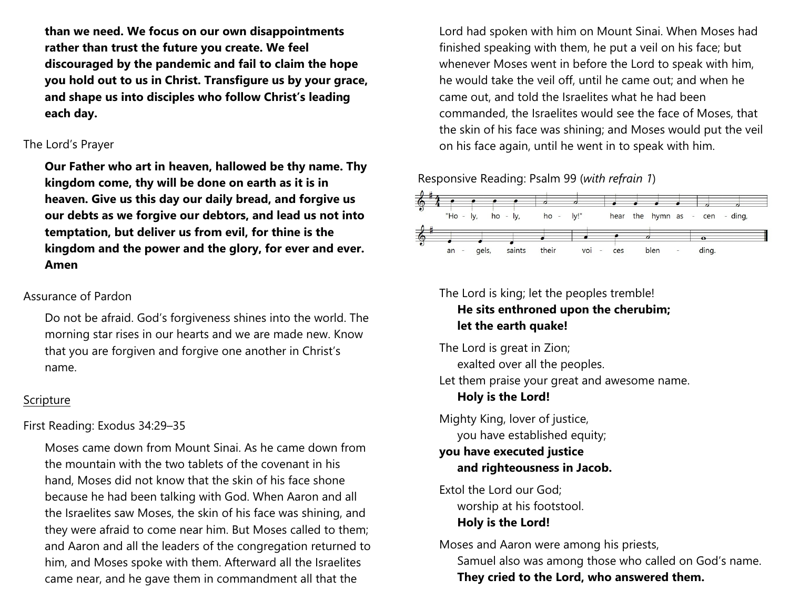**than we need. We focus on our own disappointments rather than trust the future you create. We feel discouraged by the pandemic and fail to claim the hope you hold out to us in Christ. Transfigure us by your grace, and shape us into disciples who follow Christ's leading each day.**

#### The Lord's Prayer

**Our Father who art in heaven, hallowed be thy name. Thy kingdom come, thy will be done on earth as it is in heaven. Give us this day our daily bread, and forgive us our debts as we forgive our debtors, and lead us not into temptation, but deliver us from evil, for thine is the kingdom and the power and the glory, for ever and ever. Amen**

#### Assurance of Pardon

Do not be afraid. God's forgiveness shines into the world. The morning star rises in our hearts and we are made new. Know that you are forgiven and forgive one another in Christ's name.

#### Scripture

First Reading: Exodus 34:29–35

Moses came down from Mount Sinai. As he came down from the mountain with the two tablets of the covenant in his hand, Moses did not know that the skin of his face shone because he had been talking with God. When Aaron and all the Israelites saw Moses, the skin of his face was shining, and they were afraid to come near him. But Moses called to them; and Aaron and all the leaders of the congregation returned to him, and Moses spoke with them. Afterward all the Israelites came near, and he gave them in commandment all that the

Lord had spoken with him on Mount Sinai. When Moses had finished speaking with them, he put a veil on his face; but whenever Moses went in before the Lord to speak with him, he would take the veil off, until he came out; and when he came out, and told the Israelites what he had been commanded, the Israelites would see the face of Moses, that the skin of his face was shining; and Moses would put the veil on his face again, until he went in to speak with him.

#### Responsive Reading: Psalm 99 (*with refrain 1*)



# The Lord is king; let the peoples tremble!

### **He sits enthroned upon the cherubim; let the earth quake!**

The Lord is great in Zion; exalted over all the peoples.

Let them praise your great and awesome name. **Holy is the Lord!**

Mighty King, lover of justice, you have established equity;

#### **you have executed justice and righteousness in Jacob.**

Extol the Lord our God; worship at his footstool. **Holy is the Lord!**

Moses and Aaron were among his priests, Samuel also was among those who called on God's name. **They cried to the Lord, who answered them.**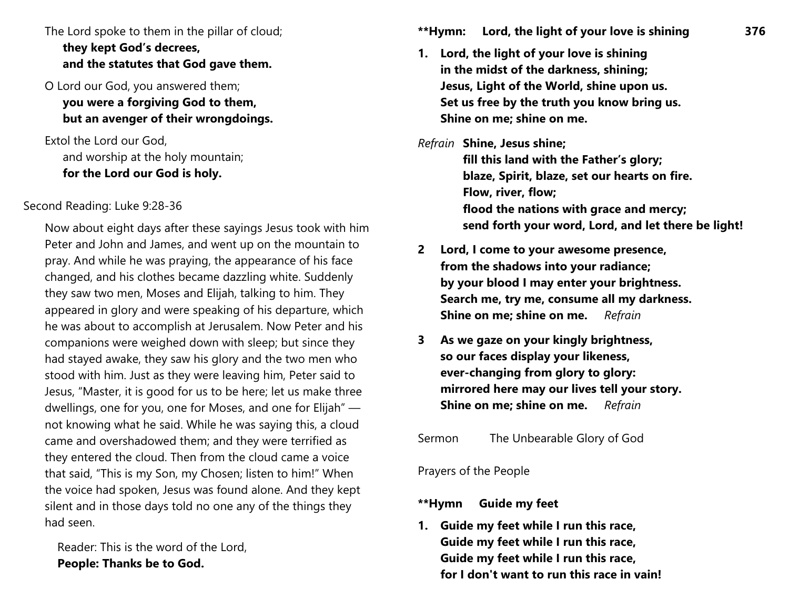The Lord spoke to them in the pillar of cloud; **they kept God's decrees, and the statutes that God gave them.**

O Lord our God, you answered them; **you were a forgiving God to them, but an avenger of their wrongdoings.**

Extol the Lord our God, and worship at the holy mountain; **for the Lord our God is holy.**

#### Second Reading: Luke 9:28-36

Now about eight days after these sayings Jesus took with him Peter and John and James, and went up on the mountain to pray. And while he was praying, the appearance of his face changed, and his clothes became dazzling white. Suddenly they saw two men, Moses and Elijah, talking to him. They appeared in glory and were speaking of his departure, which he was about to accomplish at Jerusalem. Now Peter and his companions were weighed down with sleep; but since they had stayed awake, they saw his glory and the two men who stood with him. Just as they were leaving him, Peter said to Jesus, "Master, it is good for us to be here; let us make three dwellings, one for you, one for Moses, and one for Elijah" not knowing what he said. While he was saying this, a cloud came and overshadowed them; and they were terrified as they entered the cloud. Then from the cloud came a voice that said, "This is my Son, my Chosen; listen to him!" When the voice had spoken, Jesus was found alone. And they kept silent and in those days told no one any of the things they had seen.

Reader: This is the word of the Lord, **People: Thanks be to God.**

**\*\*Hymn: Lord, the light of your love is shining 376**

- **1. Lord, the light of your love is shining in the midst of the darkness, shining; Jesus, Light of the World, shine upon us. Set us free by the truth you know bring us. Shine on me; shine on me.**
- *Refrain* **Shine, Jesus shine; fill this land with the Father's glory; blaze, Spirit, blaze, set our hearts on fire. Flow, river, flow; flood the nations with grace and mercy; send forth your word, Lord, and let there be light!**
- **2 Lord, I come to your awesome presence, from the shadows into your radiance; by your blood I may enter your brightness. Search me, try me, consume all my darkness. Shine on me; shine on me.** *Refrain*
- **3 As we gaze on your kingly brightness, so our faces display your likeness, ever-changing from glory to glory: mirrored here may our lives tell your story. Shine on me; shine on me.** *Refrain*

Sermon The Unbearable Glory of God

Prayers of the People

#### **\*\*Hymn Guide my feet**

**1. Guide my feet while I run this race, Guide my feet while I run this race, Guide my feet while I run this race, for I don't want to run this race in vain!**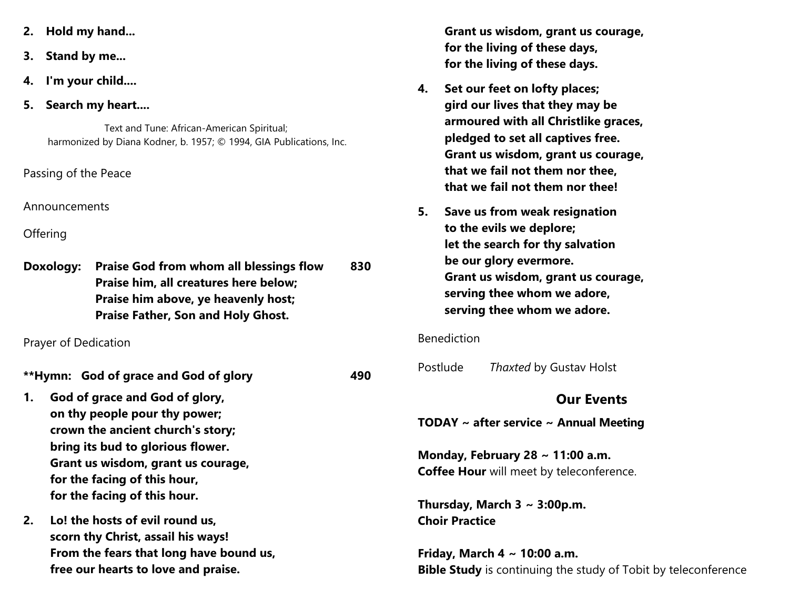- **2. Hold my hand...**
- **3. Stand by me...**
- **4. I'm your child....**
- **5. Search my heart....**

Text and Tune: African-American Spiritual; harmonized by Diana Kodner, b. 1957; © 1994, GIA Publications, Inc.

Passing of the Peace

Announcements

**Offering** 

|  | Doxology: Praise God from whom all blessings flow | 830 |
|--|---------------------------------------------------|-----|
|  | Praise him, all creatures here below;             |     |
|  | Praise him above, ye heavenly host;               |     |
|  | <b>Praise Father, Son and Holy Ghost.</b>         |     |

Prayer of Dedication

- **\*\*Hymn: God of grace and God of glory 490**
- **1. God of grace and God of glory, on thy people pour thy power; crown the ancient church's story; bring its bud to glorious flower. Grant us wisdom, grant us courage, for the facing of this hour, for the facing of this hour.**
- **2. Lo! the hosts of evil round us, scorn thy Christ, assail his ways! From the fears that long have bound us, free our hearts to love and praise.**

**Grant us wisdom, grant us courage, for the living of these days, for the living of these days.**

- **4. Set our feet on lofty places; gird our lives that they may be armoured with all Christlike graces, pledged to set all captives free. Grant us wisdom, grant us courage, that we fail not them nor thee, that we fail not them nor thee!**
- **5. Save us from weak resignation to the evils we deplore; let the search for thy salvation be our glory evermore. Grant us wisdom, grant us courage, serving thee whom we adore, serving thee whom we adore.**

#### Benediction

Postlude *Thaxted* by Gustav Holst

#### **Our Events**

**TODAY ~ after service ~ Annual Meeting**

**Monday, February 28 ~ 11:00 a.m. Coffee Hour** will meet by teleconference.

**Thursday, March 3 ~ 3:00p.m. Choir Practice**

**Friday, March 4 ~ 10:00 a.m. Bible Study** is continuing the study of Tobit by teleconference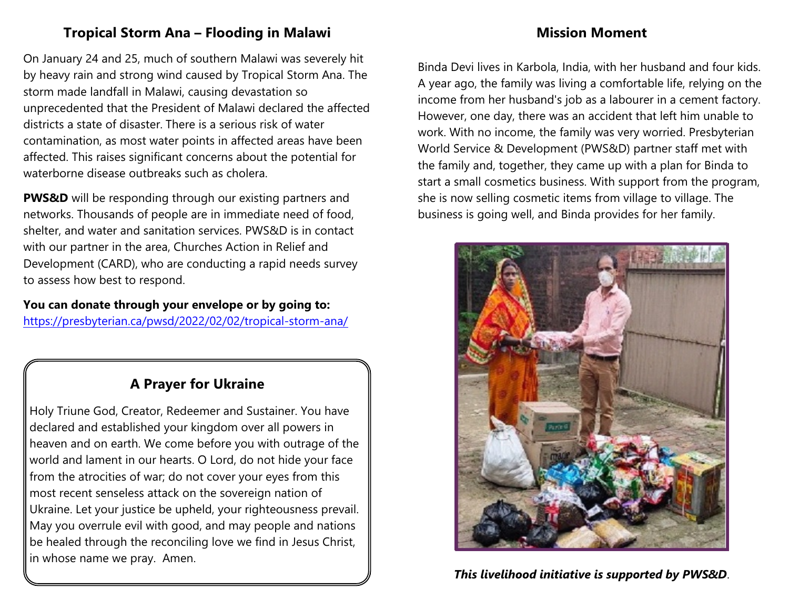## **Tropical Storm Ana – Flooding in Malawi**

### **Mission Moment**

On January 24 and 25, much of southern Malawi was severely hit by heavy rain and strong wind caused by Tropical Storm Ana. The storm made landfall in Malawi, causing devastation so unprecedented that the President of Malawi declared the affected districts a state of disaster. There is a serious risk of water contamination, as most water points in affected areas have been affected. This raises significant concerns about the potential for waterborne disease outbreaks such as cholera.

**PWS&D** will be responding through our existing partners and networks. Thousands of people are in immediate need of food, shelter, and water and sanitation services. PWS&D is in contact with our partner in the area, Churches Action in Relief and Development (CARD), who are conducting a rapid needs survey to assess how best to respond.

**You can donate through your envelope or by going to:**

<https://presbyterian.ca/pwsd/2022/02/02/tropical-storm-ana/>

### **A Prayer for Ukraine**

Holy Triune God, Creator, Redeemer and Sustainer. You have declared and established your kingdom over all powers in heaven and on earth. We come before you with outrage of the world and lament in our hearts. O Lord, do not hide your face from the atrocities of war; do not cover your eyes from this most recent senseless attack on the sovereign nation of Ukraine. Let your justice be upheld, your righteousness prevail. May you overrule evil with good, and may people and nations be healed through the reconciling love we find in Jesus Christ, in whose name we pray. Amen.

Binda Devi lives in Karbola, India, with her husband and four kids. A year ago, the family was living a comfortable life, relying on the income from her husband's job as a labourer in a cement factory. However, one day, there was an accident that left him unable to work. With no income, the family was very worried. Presbyterian World Service & Development (PWS&D) partner staff met with the family and, together, they came up with a plan for Binda to start a small cosmetics business. With support from the program, she is now selling cosmetic items from village to village. The business is going well, and Binda provides for her family.



*This livelihood initiative is supported by PWS&D*.